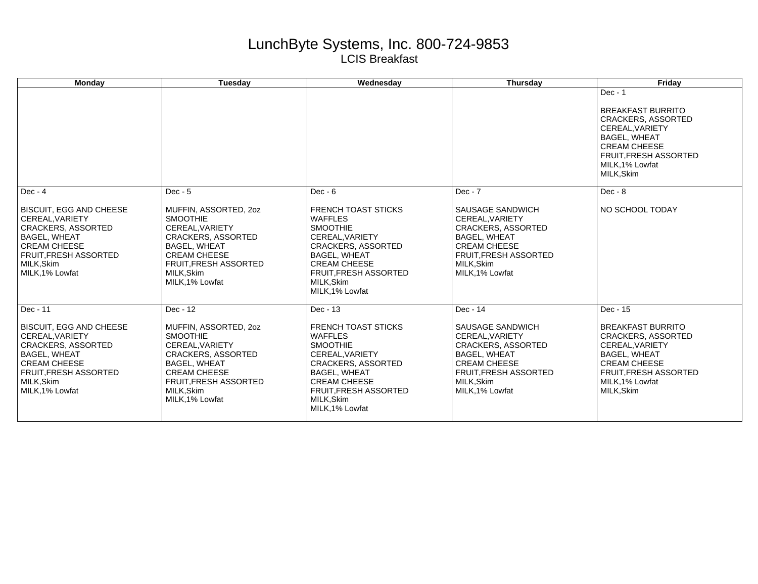## LunchByte Systems, Inc. 800-724-9853 LCIS Breakfast

| <b>Mondav</b>                                                                                                                                                                                     | Tuesdav                                                                                                                                                                                                             | Wednesdav                                                                                                                                                                                                                   | Thursday                                                                                                                                                                            | Fridav                                                                                                                                                                                             |
|---------------------------------------------------------------------------------------------------------------------------------------------------------------------------------------------------|---------------------------------------------------------------------------------------------------------------------------------------------------------------------------------------------------------------------|-----------------------------------------------------------------------------------------------------------------------------------------------------------------------------------------------------------------------------|-------------------------------------------------------------------------------------------------------------------------------------------------------------------------------------|----------------------------------------------------------------------------------------------------------------------------------------------------------------------------------------------------|
|                                                                                                                                                                                                   |                                                                                                                                                                                                                     |                                                                                                                                                                                                                             |                                                                                                                                                                                     | $Dec - 1$<br><b>BREAKFAST BURRITO</b><br><b>CRACKERS, ASSORTED</b><br>CEREAL.VARIETY<br><b>BAGEL, WHEAT</b><br><b>CREAM CHEESE</b><br><b>FRUIT.FRESH ASSORTED</b><br>MILK.1% Lowfat<br>MILK, Skim  |
| $Dec - 4$                                                                                                                                                                                         | $Dec - 5$                                                                                                                                                                                                           | $Dec - 6$                                                                                                                                                                                                                   | $Dec - 7$                                                                                                                                                                           | $Dec - 8$                                                                                                                                                                                          |
| <b>BISCUIT, EGG AND CHEESE</b><br>CEREAL.VARIETY<br><b>CRACKERS, ASSORTED</b><br><b>BAGEL, WHEAT</b><br><b>CREAM CHEESE</b><br><b>FRUIT, FRESH ASSORTED</b><br>MILK, Skim<br>MILK, 1% Lowfat      | MUFFIN, ASSORTED, 20Z<br><b>SMOOTHIE</b><br>CEREAL.VARIETY<br><b>CRACKERS, ASSORTED</b><br><b>BAGEL, WHEAT</b><br><b>CREAM CHEESE</b><br><b>FRUIT, FRESH ASSORTED</b><br>MILK, Skim<br>MILK, 1% Lowfat              | <b>FRENCH TOAST STICKS</b><br><b>WAFFLES</b><br><b>SMOOTHIE</b><br>CEREAL.VARIETY<br><b>CRACKERS, ASSORTED</b><br><b>BAGEL, WHEAT</b><br><b>CREAM CHEESE</b><br>FRUIT, FRESH ASSORTED<br>MILK, Skim<br>MILK, 1% Lowfat      | SAUSAGE SANDWICH<br>CEREAL.VARIETY<br><b>CRACKERS, ASSORTED</b><br><b>BAGEL, WHEAT</b><br><b>CREAM CHEESE</b><br><b>FRUIT, FRESH ASSORTED</b><br>MILK.Skim<br>MILK, 1% Lowfat       | NO SCHOOL TODAY                                                                                                                                                                                    |
| Dec - 11<br><b>BISCUIT, EGG AND CHEESE</b><br>CEREAL.VARIETY<br><b>CRACKERS, ASSORTED</b><br><b>BAGEL, WHEAT</b><br><b>CREAM CHEESE</b><br>FRUIT, FRESH ASSORTED<br>MILK, Skim<br>MILK, 1% Lowfat | Dec - 12<br>MUFFIN, ASSORTED, 20Z<br><b>SMOOTHIE</b><br>CEREAL, VARIETY<br><b>CRACKERS, ASSORTED</b><br><b>BAGEL, WHEAT</b><br><b>CREAM CHEESE</b><br><b>FRUIT, FRESH ASSORTED</b><br>MILK, Skim<br>MILK, 1% Lowfat | Dec - 13<br><b>FRENCH TOAST STICKS</b><br><b>WAFFLES</b><br><b>SMOOTHIE</b><br>CEREAL.VARIETY<br><b>CRACKERS, ASSORTED</b><br>BAGEL, WHEAT<br><b>CREAM CHEESE</b><br>FRUIT, FRESH ASSORTED<br>MILK, Skim<br>MILK, 1% Lowfat | Dec - 14<br>SAUSAGE SANDWICH<br>CEREAL.VARIETY<br><b>CRACKERS, ASSORTED</b><br><b>BAGEL, WHEAT</b><br><b>CREAM CHEESE</b><br>FRUIT, FRESH ASSORTED<br>MILK, Skim<br>MILK, 1% Lowfat | Dec - 15<br><b>BREAKFAST BURRITO</b><br><b>CRACKERS, ASSORTED</b><br>CEREAL, VARIETY<br><b>BAGEL, WHEAT</b><br><b>CREAM CHEESE</b><br><b>FRUIT.FRESH ASSORTED</b><br>MILK, 1% Lowfat<br>MILK, Skim |